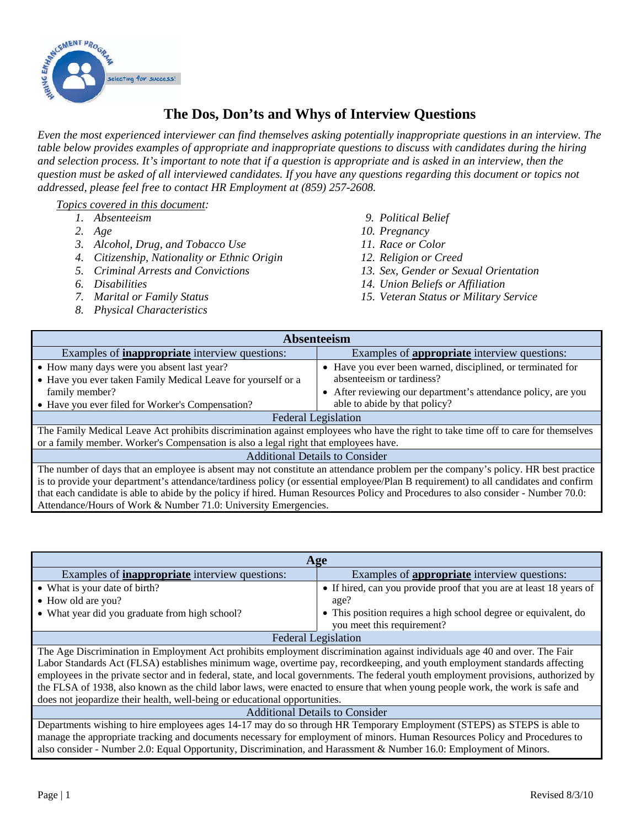

## **The Dos, Don'ts and Whys of Interview Questions**

*Even the most experienced interviewer can find themselves asking potentially inappropriate questions in an interview. The table below provides examples of appropriate and inappropriate questions to discuss with candidates during the hiring and selection process. It's important to note that if a question is appropriate and is asked in an interview, then the question must be asked of all interviewed candidates. If you have any questions regarding this document or topics not addressed, please feel free to contact HR Employment at (859) 257-2608.* 

## *Topics covered in this document:*

- *1. Absenteeism*
- *2. Age*
- *3. Alcohol, Drug, and Tobacco Use*
- *4. Citizenship, Nationality or Ethnic Origin*
- *5. Criminal Arrests and Convictions*
- *6. Disabilities*
- *7. Marital or Family Status*
- *8. Physical Characteristics*
- *9. Political Belief*
- *10. Pregnancy*
- *11. Race or Color*
- *12. Religion or Creed*
- *13. Sex, Gender or Sexual Orientation*
- *14. Union Beliefs or Affiliation*
- *15. Veteran Status or Military Service*

| Absenteeism                                                                                                                                                                                                                                                                                                                                                                                                     |                                                                                                                                                           |  |
|-----------------------------------------------------------------------------------------------------------------------------------------------------------------------------------------------------------------------------------------------------------------------------------------------------------------------------------------------------------------------------------------------------------------|-----------------------------------------------------------------------------------------------------------------------------------------------------------|--|
| Examples of <b>inappropriate</b> interview questions:                                                                                                                                                                                                                                                                                                                                                           | Examples of <b>appropriate</b> interview questions:                                                                                                       |  |
| • How many days were you absent last year?<br>• Have you ever taken Family Medical Leave for yourself or a<br>family member?                                                                                                                                                                                                                                                                                    | • Have you ever been warned, disciplined, or terminated for<br>absenteeism or tardiness?<br>• After reviewing our department's attendance policy, are you |  |
| • Have you ever filed for Worker's Compensation?                                                                                                                                                                                                                                                                                                                                                                | able to abide by that policy?                                                                                                                             |  |
| <b>Federal Legislation</b>                                                                                                                                                                                                                                                                                                                                                                                      |                                                                                                                                                           |  |
| The Family Medical Leave Act prohibits discrimination against employees who have the right to take time off to care for themselves<br>or a family member. Worker's Compensation is also a legal right that employees have.                                                                                                                                                                                      |                                                                                                                                                           |  |
| <b>Additional Details to Consider</b>                                                                                                                                                                                                                                                                                                                                                                           |                                                                                                                                                           |  |
| The number of days that an employee is absent may not constitute an attendance problem per the company's policy. HR best practice<br>is to provide your department's attendance/tardiness policy (or essential employee/Plan B requirement) to all candidates and confirm<br>that each candidate is able to abide by the policy if hired. Human Resources Policy and Procedures to also consider - Number 70.0: |                                                                                                                                                           |  |
| Attendance/Hours of Work & Number 71.0: University Emergencies.                                                                                                                                                                                                                                                                                                                                                 |                                                                                                                                                           |  |

| Age                                                                                                                                                                                                                                                                                                                                                                                                                                                                                                                                                                                                              |                                                                     |  |
|------------------------------------------------------------------------------------------------------------------------------------------------------------------------------------------------------------------------------------------------------------------------------------------------------------------------------------------------------------------------------------------------------------------------------------------------------------------------------------------------------------------------------------------------------------------------------------------------------------------|---------------------------------------------------------------------|--|
| Examples of <b>inappropriate</b> interview questions:                                                                                                                                                                                                                                                                                                                                                                                                                                                                                                                                                            | Examples of <b>appropriate</b> interview questions:                 |  |
| • What is your date of birth?                                                                                                                                                                                                                                                                                                                                                                                                                                                                                                                                                                                    | • If hired, can you provide proof that you are at least 18 years of |  |
| • How old are you?                                                                                                                                                                                                                                                                                                                                                                                                                                                                                                                                                                                               | age?                                                                |  |
| • What year did you graduate from high school?                                                                                                                                                                                                                                                                                                                                                                                                                                                                                                                                                                   | • This position requires a high school degree or equivalent, do     |  |
|                                                                                                                                                                                                                                                                                                                                                                                                                                                                                                                                                                                                                  | you meet this requirement?                                          |  |
| <b>Federal Legislation</b>                                                                                                                                                                                                                                                                                                                                                                                                                                                                                                                                                                                       |                                                                     |  |
| The Age Discrimination in Employment Act prohibits employment discrimination against individuals age 40 and over. The Fair<br>Labor Standards Act (FLSA) establishes minimum wage, overtime pay, recordkeeping, and youth employment standards affecting<br>employees in the private sector and in federal, state, and local governments. The federal youth employment provisions, authorized by<br>the FLSA of 1938, also known as the child labor laws, were enacted to ensure that when young people work, the work is safe and<br>does not jeopardize their health, well-being or educational opportunities. |                                                                     |  |
| <b>Additional Details to Consider</b>                                                                                                                                                                                                                                                                                                                                                                                                                                                                                                                                                                            |                                                                     |  |
| Departments wishing to hire employees ages 14-17 may do so through HR Temporary Employment (STEPS) as STEPS is able to                                                                                                                                                                                                                                                                                                                                                                                                                                                                                           |                                                                     |  |
| manage the appropriate tracking and documents necessary for employment of minors. Human Resources Policy and Procedures to                                                                                                                                                                                                                                                                                                                                                                                                                                                                                       |                                                                     |  |

also consider - Number 2.0: Equal Opportunity, Discrimination, and Harassment & Number 16.0: Employment of Minors.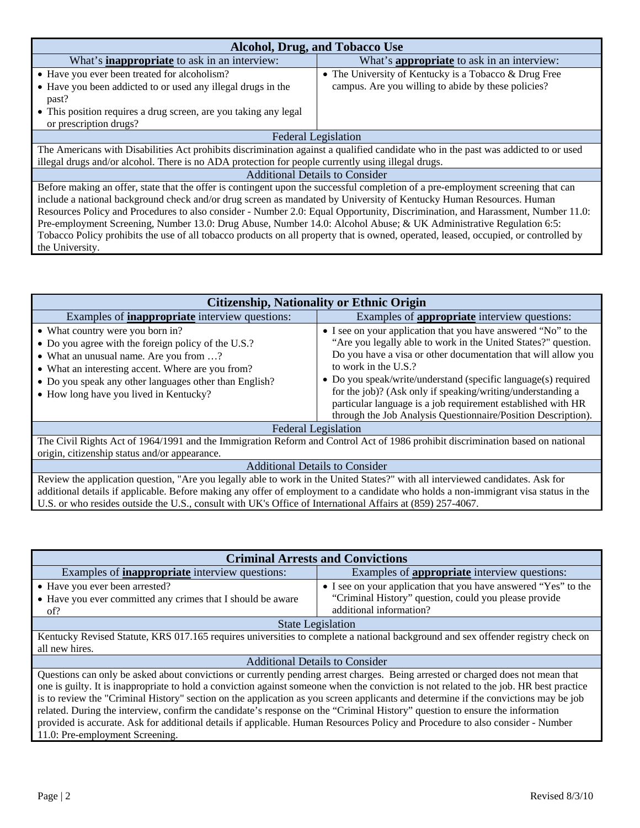| <b>Alcohol, Drug, and Tobacco Use</b>                                                                                                |                                                       |  |
|--------------------------------------------------------------------------------------------------------------------------------------|-------------------------------------------------------|--|
| What's <b>inappropriate</b> to ask in an interview:                                                                                  | What's <b>appropriate</b> to ask in an interview:     |  |
| • Have you ever been treated for alcoholism?                                                                                         | • The University of Kentucky is a Tobacco & Drug Free |  |
| • Have you been addicted to or used any illegal drugs in the                                                                         | campus. Are you willing to abide by these policies?   |  |
| past?                                                                                                                                |                                                       |  |
| • This position requires a drug screen, are you taking any legal                                                                     |                                                       |  |
| or prescription drugs?                                                                                                               |                                                       |  |
| <b>Federal Legislation</b>                                                                                                           |                                                       |  |
| The Americans with Disabilities Act prohibits discrimination against a qualified candidate who in the past was addicted to or used   |                                                       |  |
| illegal drugs and/or alcohol. There is no ADA protection for people currently using illegal drugs.                                   |                                                       |  |
| <b>Additional Details to Consider</b>                                                                                                |                                                       |  |
| Before making an offer, state that the offer is contingent upon the successful completion of a pre-employment screening that can     |                                                       |  |
| include a national background check and/or drug screen as mandated by University of Kentucky Human Resources. Human                  |                                                       |  |
| Resources Policy and Procedures to also consider - Number 2.0: Equal Opportunity, Discrimination, and Harassment, Number 11.0:       |                                                       |  |
| Pre-employment Screening, Number 13.0: Drug Abuse, Number 14.0: Alcohol Abuse; & UK Administrative Regulation 6:5:                   |                                                       |  |
| Tobacco Policy prohibits the use of all tobacco products on all property that is owned, operated, leased, occupied, or controlled by |                                                       |  |
| the University.                                                                                                                      |                                                       |  |

| <b>Citizenship, Nationality or Ethnic Origin</b>                                                                                                                                                                                                                                                                                                                                    |                                                                                                                                                                                                                                                                                                                                                                                                                                                                                             |  |
|-------------------------------------------------------------------------------------------------------------------------------------------------------------------------------------------------------------------------------------------------------------------------------------------------------------------------------------------------------------------------------------|---------------------------------------------------------------------------------------------------------------------------------------------------------------------------------------------------------------------------------------------------------------------------------------------------------------------------------------------------------------------------------------------------------------------------------------------------------------------------------------------|--|
| Examples of <b>inappropriate</b> interview questions:                                                                                                                                                                                                                                                                                                                               | Examples of <b>appropriate</b> interview questions:                                                                                                                                                                                                                                                                                                                                                                                                                                         |  |
| • What country were you born in?<br>• Do you agree with the foreign policy of the U.S.?<br>• What an unusual name. Are you from ?<br>• What an interesting accent. Where are you from?<br>• Do you speak any other languages other than English?<br>• How long have you lived in Kentucky?                                                                                          | • I see on your application that you have answered "No" to the<br>"Are you legally able to work in the United States?" question.<br>Do you have a visa or other documentation that will allow you<br>to work in the U.S.?<br>• Do you speak/write/understand (specific language(s) required<br>for the job)? (Ask only if speaking/writing/understanding a<br>particular language is a job requirement established with HR<br>through the Job Analysis Questionnaire/Position Description). |  |
| <b>Federal Legislation</b>                                                                                                                                                                                                                                                                                                                                                          |                                                                                                                                                                                                                                                                                                                                                                                                                                                                                             |  |
| The Civil Rights Act of 1964/1991 and the Immigration Reform and Control Act of 1986 prohibit discrimination based on national<br>origin, citizenship status and/or appearance.                                                                                                                                                                                                     |                                                                                                                                                                                                                                                                                                                                                                                                                                                                                             |  |
| <b>Additional Details to Consider</b>                                                                                                                                                                                                                                                                                                                                               |                                                                                                                                                                                                                                                                                                                                                                                                                                                                                             |  |
| Review the application question, "Are you legally able to work in the United States?" with all interviewed candidates. Ask for<br>additional details if applicable. Before making any offer of employment to a candidate who holds a non-immigrant visa status in the<br>U.S. or who resides outside the U.S., consult with UK's Office of International Affairs at (859) 257-4067. |                                                                                                                                                                                                                                                                                                                                                                                                                                                                                             |  |

| <b>Criminal Arrests and Convictions</b>                                                                                                                                                                                                                                                                                                                                                               |                                                                                                                          |  |
|-------------------------------------------------------------------------------------------------------------------------------------------------------------------------------------------------------------------------------------------------------------------------------------------------------------------------------------------------------------------------------------------------------|--------------------------------------------------------------------------------------------------------------------------|--|
| Examples of <b>inappropriate</b> interview questions:                                                                                                                                                                                                                                                                                                                                                 | Examples of <b>appropriate</b> interview questions:                                                                      |  |
| • Have you ever been arrested?<br>• Have you ever committed any crimes that I should be aware                                                                                                                                                                                                                                                                                                         | • I see on your application that you have answered "Yes" to the<br>"Criminal History" question, could you please provide |  |
| of?                                                                                                                                                                                                                                                                                                                                                                                                   | additional information?                                                                                                  |  |
| <b>State Legislation</b>                                                                                                                                                                                                                                                                                                                                                                              |                                                                                                                          |  |
| Kentucky Revised Statute, KRS 017.165 requires universities to complete a national background and sex offender registry check on                                                                                                                                                                                                                                                                      |                                                                                                                          |  |
| all new hires.                                                                                                                                                                                                                                                                                                                                                                                        |                                                                                                                          |  |
| <b>Additional Details to Consider</b>                                                                                                                                                                                                                                                                                                                                                                 |                                                                                                                          |  |
| Questions can only be asked about convictions or currently pending arrest charges. Being arrested or charged does not mean that<br>one is guilty. It is inappropriate to hold a conviction against someone when the conviction is not related to the job. HR best practice                                                                                                                            |                                                                                                                          |  |
| is to review the "Criminal History" section on the application as you screen applicants and determine if the convictions may be job<br>related. During the interview, confirm the candidate's response on the "Criminal History" question to ensure the information<br>provided is accurate. Ask for additional details if applicable. Human Resources Policy and Procedure to also consider - Number |                                                                                                                          |  |

11.0: Pre-employment Screening.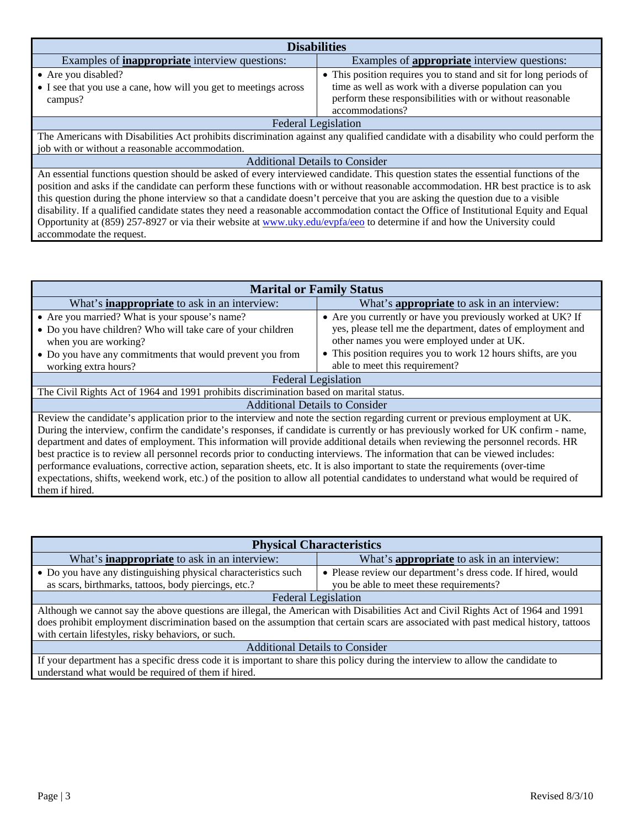| <b>Disabilities</b>                                                                                                                   |                                                                   |  |
|---------------------------------------------------------------------------------------------------------------------------------------|-------------------------------------------------------------------|--|
| Examples of <b>inappropriate</b> interview questions:                                                                                 | Examples of <b>appropriate</b> interview questions:               |  |
| • Are you disabled?                                                                                                                   | • This position requires you to stand and sit for long periods of |  |
| • I see that you use a cane, how will you get to meetings across                                                                      | time as well as work with a diverse population can you            |  |
| campus?                                                                                                                               | perform these responsibilities with or without reasonable         |  |
|                                                                                                                                       | accommodations?                                                   |  |
| <b>Federal Legislation</b>                                                                                                            |                                                                   |  |
| The Americans with Disabilities Act prohibits discrimination against any qualified candidate with a disability who could perform the  |                                                                   |  |
| job with or without a reasonable accommodation.                                                                                       |                                                                   |  |
| <b>Additional Details to Consider</b>                                                                                                 |                                                                   |  |
| An essential functions question should be asked of every interviewed candidate. This question states the essential functions of the   |                                                                   |  |
| position and asks if the candidate can perform these functions with or without reasonable accommodation. HR best practice is to ask   |                                                                   |  |
| this question during the phone interview so that a candidate doesn't perceive that you are asking the question due to a visible       |                                                                   |  |
| disability. If a qualified candidate states they need a reasonable accommodation contact the Office of Institutional Equity and Equal |                                                                   |  |
| Opportunity at (859) 257-8927 or via their website at www.uky.edu/evpfa/eeo to determine if and how the University could              |                                                                   |  |
| accommodate the request.                                                                                                              |                                                                   |  |

| <b>Marital or Family Status</b>                                                                                                     |                                                               |  |
|-------------------------------------------------------------------------------------------------------------------------------------|---------------------------------------------------------------|--|
| What's <b>inappropriate</b> to ask in an interview:                                                                                 | What's <b>appropriate</b> to ask in an interview:             |  |
| • Are you married? What is your spouse's name?                                                                                      | • Are you currently or have you previously worked at UK? If   |  |
| • Do you have children? Who will take care of your children                                                                         | yes, please tell me the department, dates of employment and   |  |
| when you are working?                                                                                                               | other names you were employed under at UK.                    |  |
| • Do you have any commitments that would prevent you from                                                                           | • This position requires you to work 12 hours shifts, are you |  |
| working extra hours?                                                                                                                | able to meet this requirement?                                |  |
| <b>Federal Legislation</b>                                                                                                          |                                                               |  |
| The Civil Rights Act of 1964 and 1991 prohibits discrimination based on marital status.                                             |                                                               |  |
| <b>Additional Details to Consider</b>                                                                                               |                                                               |  |
| Review the candidate's application prior to the interview and note the section regarding current or previous employment at UK.      |                                                               |  |
| During the interview, confirm the candidate's responses, if candidate is currently or has previously worked for UK confirm - name,  |                                                               |  |
| department and dates of employment. This information will provide additional details when reviewing the personnel records. HR       |                                                               |  |
| best practice is to review all personnel records prior to conducting interviews. The information that can be viewed includes:       |                                                               |  |
| performance evaluations, corrective action, separation sheets, etc. It is also important to state the requirements (over-time       |                                                               |  |
| expectations, shifts, weekend work, etc.) of the position to allow all potential candidates to understand what would be required of |                                                               |  |
| them if hired.                                                                                                                      |                                                               |  |

| <b>Physical Characteristics</b>                                                                                                      |                                                              |  |
|--------------------------------------------------------------------------------------------------------------------------------------|--------------------------------------------------------------|--|
| What's <b>inappropriate</b> to ask in an interview:                                                                                  | What's <b>appropriate</b> to ask in an interview:            |  |
| • Do you have any distinguishing physical characteristics such                                                                       | • Please review our department's dress code. If hired, would |  |
| as scars, birthmarks, tattoos, body piercings, etc.?                                                                                 | you be able to meet these requirements?                      |  |
| <b>Federal Legislation</b>                                                                                                           |                                                              |  |
| Although we cannot say the above questions are illegal, the American with Disabilities Act and Civil Rights Act of 1964 and 1991     |                                                              |  |
| does prohibit employment discrimination based on the assumption that certain scars are associated with past medical history, tattoos |                                                              |  |
| with certain lifestyles, risky behaviors, or such.                                                                                   |                                                              |  |
| <b>Additional Details to Consider</b>                                                                                                |                                                              |  |
| If your department has a specific dress code it is important to share this policy during the interview to allow the candidate to     |                                                              |  |
| understand what would be required of them if hired.                                                                                  |                                                              |  |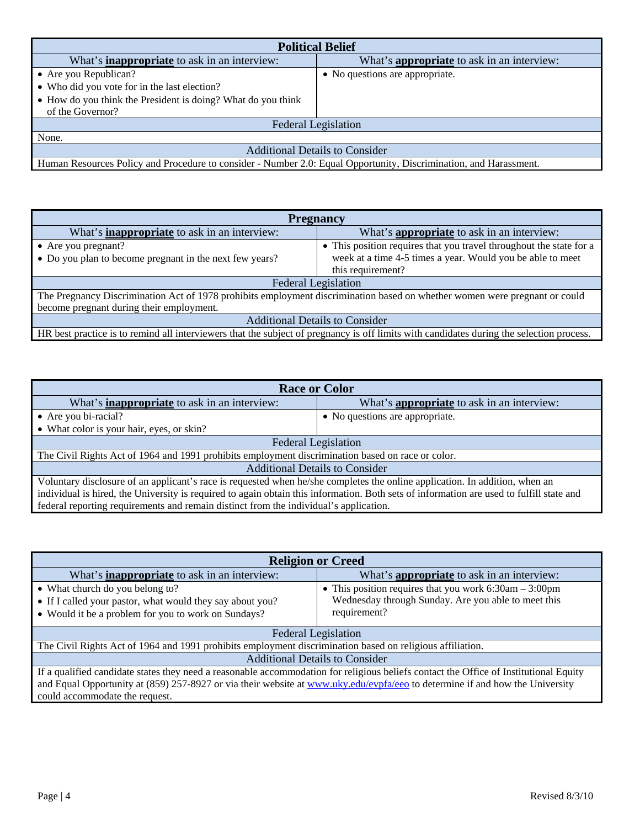| <b>Political Belief</b>                                                                                           |                                                   |  |
|-------------------------------------------------------------------------------------------------------------------|---------------------------------------------------|--|
| What's <b>inappropriate</b> to ask in an interview:                                                               | What's <b>appropriate</b> to ask in an interview: |  |
| • Are you Republican?                                                                                             | • No questions are appropriate.                   |  |
| • Who did you vote for in the last election?                                                                      |                                                   |  |
| • How do you think the President is doing? What do you think                                                      |                                                   |  |
| of the Governor?                                                                                                  |                                                   |  |
| <b>Federal Legislation</b>                                                                                        |                                                   |  |
| None.                                                                                                             |                                                   |  |
| <b>Additional Details to Consider</b>                                                                             |                                                   |  |
| Human Resources Policy and Procedure to consider - Number 2.0: Equal Opportunity, Discrimination, and Harassment. |                                                   |  |

| <b>Pregnancy</b>                                                                                                                         |                                                                     |  |
|------------------------------------------------------------------------------------------------------------------------------------------|---------------------------------------------------------------------|--|
| What's <b>inappropriate</b> to ask in an interview:                                                                                      | What's <b>appropriate</b> to ask in an interview:                   |  |
| $\bullet$ Are you pregnant?                                                                                                              | • This position requires that you travel throughout the state for a |  |
| • Do you plan to become pregnant in the next few years?                                                                                  | week at a time 4-5 times a year. Would you be able to meet          |  |
|                                                                                                                                          | this requirement?                                                   |  |
| <b>Federal Legislation</b>                                                                                                               |                                                                     |  |
| The Pregnancy Discrimination Act of 1978 prohibits employment discrimination based on whether women were pregnant or could               |                                                                     |  |
| become pregnant during their employment.                                                                                                 |                                                                     |  |
| <b>Additional Details to Consider</b>                                                                                                    |                                                                     |  |
| HR best practice is to remind all interviewers that the subject of pregnancy is off limits with candidates during the selection process. |                                                                     |  |

| <b>Race or Color</b>                                                                                                                     |                                                   |  |
|------------------------------------------------------------------------------------------------------------------------------------------|---------------------------------------------------|--|
| What's <b>inappropriate</b> to ask in an interview:                                                                                      | What's <b>appropriate</b> to ask in an interview: |  |
| • Are you bi-racial?                                                                                                                     | • No questions are appropriate.                   |  |
| • What color is your hair, eyes, or skin?                                                                                                |                                                   |  |
| <b>Federal Legislation</b>                                                                                                               |                                                   |  |
| The Civil Rights Act of 1964 and 1991 prohibits employment discrimination based on race or color.                                        |                                                   |  |
| <b>Additional Details to Consider</b>                                                                                                    |                                                   |  |
| Voluntary disclosure of an applicant's race is requested when he/she completes the online application. In addition, when an              |                                                   |  |
| individual is hired, the University is required to again obtain this information. Both sets of information are used to fulfill state and |                                                   |  |
| federal reporting requirements and remain distinct from the individual's application.                                                    |                                                   |  |

| <b>Religion or Creed</b>                                                                                                              |                                                             |  |
|---------------------------------------------------------------------------------------------------------------------------------------|-------------------------------------------------------------|--|
| What's <b>inappropriate</b> to ask in an interview:                                                                                   | What's <b>appropriate</b> to ask in an interview:           |  |
| • What church do you belong to?                                                                                                       | • This position requires that you work $6:30$ am $-3:00$ pm |  |
| • If I called your pastor, what would they say about you?                                                                             | Wednesday through Sunday. Are you able to meet this         |  |
| • Would it be a problem for you to work on Sundays?                                                                                   | requirement?                                                |  |
| <b>Federal Legislation</b>                                                                                                            |                                                             |  |
| The Civil Rights Act of 1964 and 1991 prohibits employment discrimination based on religious affiliation.                             |                                                             |  |
| <b>Additional Details to Consider</b>                                                                                                 |                                                             |  |
| If a qualified candidate states they need a reasonable accommodation for religious beliefs contact the Office of Institutional Equity |                                                             |  |
| and Equal Opportunity at (859) 257-8927 or via their website at www.uky.edu/evpfa/eeo to determine if and how the University          |                                                             |  |
| could accommodate the request.                                                                                                        |                                                             |  |